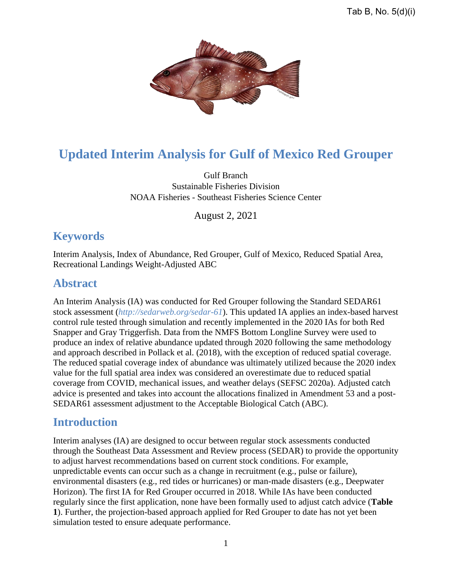

# **Updated Interim Analysis for Gulf of Mexico Red Grouper**

Gulf Branch Sustainable Fisheries Division NOAA Fisheries - Southeast Fisheries Science Center

August 2, 2021

## **Keywords**

Interim Analysis, Index of Abundance, Red Grouper, Gulf of Mexico, Reduced Spatial Area, Recreational Landings Weight-Adjusted ABC

## **Abstract**

An Interim Analysis (IA) was conducted for Red Grouper following the Standard SEDAR61 stock assessment (*<http://sedarweb.org/sedar-61>*). This updated IA applies an index-based harvest control rule tested through simulation and recently implemented in the 2020 IAs for both Red Snapper and Gray Triggerfish. Data from the NMFS Bottom Longline Survey were used to produce an index of relative abundance updated through 2020 following the same methodology and approach described in Pollack et al. (2018), with the exception of reduced spatial coverage. The reduced spatial coverage index of abundance was ultimately utilized because the 2020 index value for the full spatial area index was considered an overestimate due to reduced spatial coverage from COVID, mechanical issues, and weather delays (SEFSC 2020a). Adjusted catch advice is presented and takes into account the allocations finalized in Amendment 53 and a post-SEDAR61 assessment adjustment to the Acceptable Biological Catch (ABC).

### **Introduction**

Interim analyses (IA) are designed to occur between regular stock assessments conducted through the Southeast Data Assessment and Review process (SEDAR) to provide the opportunity to adjust harvest recommendations based on current stock conditions. For example, unpredictable events can occur such as a change in recruitment (e.g., pulse or failure), environmental disasters (e.g., red tides or hurricanes) or man-made disasters (e.g., Deepwater Horizon). The first IA for Red Grouper occurred in 2018. While IAs have been conducted regularly since the first application, none have been formally used to adjust catch advice (**Table 1**). Further, the projection-based approach applied for Red Grouper to date has not yet been simulation tested to ensure adequate performance.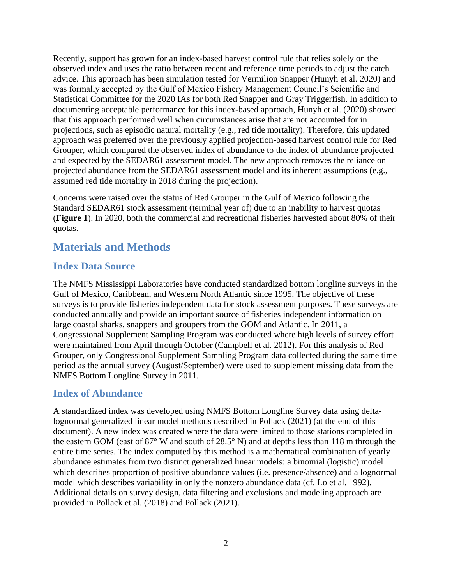Recently, support has grown for an index-based harvest control rule that relies solely on the observed index and uses the ratio between recent and reference time periods to adjust the catch advice. This approach has been simulation tested for Vermilion Snapper (Hunyh et al. 2020) and was formally accepted by the Gulf of Mexico Fishery Management Council's Scientific and Statistical Committee for the 2020 IAs for both Red Snapper and Gray Triggerfish. In addition to documenting acceptable performance for this index-based approach, Hunyh et al. (2020) showed that this approach performed well when circumstances arise that are not accounted for in projections, such as episodic natural mortality (e.g., red tide mortality). Therefore, this updated approach was preferred over the previously applied projection-based harvest control rule for Red Grouper, which compared the observed index of abundance to the index of abundance projected and expected by the SEDAR61 assessment model. The new approach removes the reliance on projected abundance from the SEDAR61 assessment model and its inherent assumptions (e.g., assumed red tide mortality in 2018 during the projection).

Concerns were raised over the status of Red Grouper in the Gulf of Mexico following the Standard SEDAR61 stock assessment (terminal year of) due to an inability to harvest quotas (**Figure 1**). In 2020, both the commercial and recreational fisheries harvested about 80% of their quotas.

## **Materials and Methods**

#### **Index Data Source**

The NMFS Mississippi Laboratories have conducted standardized bottom longline surveys in the Gulf of Mexico, Caribbean, and Western North Atlantic since 1995. The objective of these surveys is to provide fisheries independent data for stock assessment purposes. These surveys are conducted annually and provide an important source of fisheries independent information on large coastal sharks, snappers and groupers from the GOM and Atlantic. In 2011, a Congressional Supplement Sampling Program was conducted where high levels of survey effort were maintained from April through October (Campbell et al. 2012). For this analysis of Red Grouper, only Congressional Supplement Sampling Program data collected during the same time period as the annual survey (August/September) were used to supplement missing data from the NMFS Bottom Longline Survey in 2011.

#### **Index of Abundance**

A standardized index was developed using NMFS Bottom Longline Survey data using deltalognormal generalized linear model methods described in Pollack (2021) (at the end of this document). A new index was created where the data were limited to those stations completed in the eastern GOM (east of 87° W and south of 28.5° N) and at depths less than 118 m through the entire time series. The index computed by this method is a mathematical combination of yearly abundance estimates from two distinct generalized linear models: a binomial (logistic) model which describes proportion of positive abundance values (i.e. presence/absence) and a lognormal model which describes variability in only the nonzero abundance data (cf. Lo et al. 1992). Additional details on survey design, data filtering and exclusions and modeling approach are provided in Pollack et al. (2018) and Pollack (2021).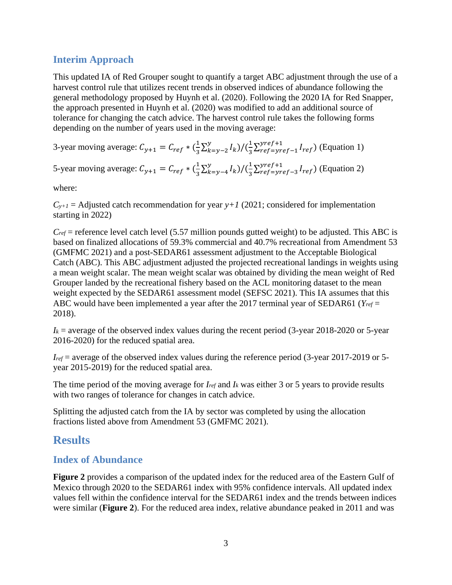#### **Interim Approach**

This updated IA of Red Grouper sought to quantify a target ABC adjustment through the use of a harvest control rule that utilizes recent trends in observed indices of abundance following the general methodology proposed by Huynh et al. (2020). Following the 2020 IA for Red Snapper, the approach presented in Huynh et al. (2020) was modified to add an additional source of tolerance for changing the catch advice. The harvest control rule takes the following forms depending on the number of years used in the moving average:

3-year moving average:  $C_{y+1} = C_{ref} * (\frac{1}{3})$  $\frac{1}{3} \sum_{k=y-2}^{y} I_k$  $\frac{y}{k-y-2}I_k$ )/ $(\frac{1}{3})$  $\frac{1}{3}\sum_{ref=yref-1}^{yref+1} I_{ref}$  $\frac{y_{ref}+1}{\frac{y_{ref}-y_{ref}-1}{\frac{y_{ref}}{y_{ref}}}}$  (Equation 1)

5-year moving average:  $C_{y+1} = C_{ref} * (\frac{1}{3})$  $\frac{1}{3} \sum_{k=y-4}^{y} I_k$  $\frac{y}{k-y-4}I_k$ )/ $\left(\frac{1}{3}\right)$  $\frac{1}{3}\sum_{ref=yref-3}^{yref+1}I_{ref}$  $\frac{y_{ref}+1}{\frac{y_{ref}-y_{ref}-3}{\frac{y_{ref}}{y_{ref}}}}$  (Equation 2)

where:

 $C_{y+1}$  = Adjusted catch recommendation for year *y*+1 (2021; considered for implementation starting in 2022)

 $C_{ref}$  = reference level catch level (5.57 million pounds gutted weight) to be adjusted. This ABC is based on finalized allocations of 59.3% commercial and 40.7% recreational from Amendment 53 (GMFMC 2021) and a post-SEDAR61 assessment adjustment to the Acceptable Biological Catch (ABC). This ABC adjustment adjusted the projected recreational landings in weights using a mean weight scalar. The mean weight scalar was obtained by dividing the mean weight of Red Grouper landed by the recreational fishery based on the ACL monitoring dataset to the mean weight expected by the SEDAR61 assessment model (SEFSC 2021). This IA assumes that this ABC would have been implemented a year after the 2017 terminal year of SEDAR61 (*Yref* = 2018).

 $I_k$  = average of the observed index values during the recent period (3-year 2018-2020 or 5-year 2016-2020) for the reduced spatial area.

*Iref* = average of the observed index values during the reference period (3-year 2017-2019 or 5 year 2015-2019) for the reduced spatial area.

The time period of the moving average for *Iref* and *I<sup>k</sup>* was either 3 or 5 years to provide results with two ranges of tolerance for changes in catch advice.

Splitting the adjusted catch from the IA by sector was completed by using the allocation fractions listed above from Amendment 53 (GMFMC 2021).

## **Results**

#### **Index of Abundance**

**Figure 2** provides a comparison of the updated index for the reduced area of the Eastern Gulf of Mexico through 2020 to the SEDAR61 index with 95% confidence intervals. All updated index values fell within the confidence interval for the SEDAR61 index and the trends between indices were similar (**Figure 2**). For the reduced area index, relative abundance peaked in 2011 and was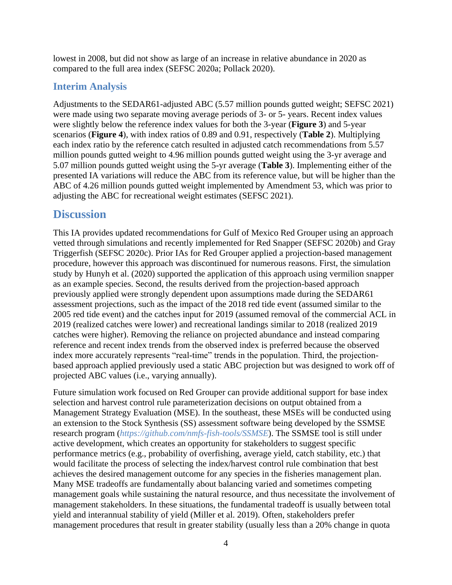lowest in 2008, but did not show as large of an increase in relative abundance in 2020 as compared to the full area index (SEFSC 2020a; Pollack 2020).

#### **Interim Analysis**

Adjustments to the SEDAR61-adjusted ABC (5.57 million pounds gutted weight; SEFSC 2021) were made using two separate moving average periods of 3- or 5- years. Recent index values were slightly below the reference index values for both the 3-year (**Figure 3**) and 5-year scenarios (**Figure 4**), with index ratios of 0.89 and 0.91, respectively (**Table 2**). Multiplying each index ratio by the reference catch resulted in adjusted catch recommendations from 5.57 million pounds gutted weight to 4.96 million pounds gutted weight using the 3-yr average and 5.07 million pounds gutted weight using the 5-yr average (**Table 3**). Implementing either of the presented IA variations will reduce the ABC from its reference value, but will be higher than the ABC of 4.26 million pounds gutted weight implemented by Amendment 53, which was prior to adjusting the ABC for recreational weight estimates (SEFSC 2021).

## **Discussion**

This IA provides updated recommendations for Gulf of Mexico Red Grouper using an approach vetted through simulations and recently implemented for Red Snapper (SEFSC 2020b) and Gray Triggerfish (SEFSC 2020c). Prior IAs for Red Grouper applied a projection-based management procedure, however this approach was discontinued for numerous reasons. First, the simulation study by Hunyh et al. (2020) supported the application of this approach using vermilion snapper as an example species. Second, the results derived from the projection-based approach previously applied were strongly dependent upon assumptions made during the SEDAR61 assessment projections, such as the impact of the 2018 red tide event (assumed similar to the 2005 red tide event) and the catches input for 2019 (assumed removal of the commercial ACL in 2019 (realized catches were lower) and recreational landings similar to 2018 (realized 2019 catches were higher). Removing the reliance on projected abundance and instead comparing reference and recent index trends from the observed index is preferred because the observed index more accurately represents "real-time" trends in the population. Third, the projectionbased approach applied previously used a static ABC projection but was designed to work off of projected ABC values (i.e., varying annually).

Future simulation work focused on Red Grouper can provide additional support for base index selection and harvest control rule parameterization decisions on output obtained from a Management Strategy Evaluation (MSE). In the southeast, these MSEs will be conducted using an extension to the Stock Synthesis (SS) assessment software being developed by the SSMSE research program (*<https://github.com/nmfs-fish-tools/SSMSE>*). The SSMSE tool is still under active development, which creates an opportunity for stakeholders to suggest specific performance metrics (e.g., probability of overfishing, average yield, catch stability, etc.) that would facilitate the process of selecting the index/harvest control rule combination that best achieves the desired management outcome for any species in the fisheries management plan. Many MSE tradeoffs are fundamentally about balancing varied and sometimes competing management goals while sustaining the natural resource, and thus necessitate the involvement of management stakeholders. In these situations, the fundamental tradeoff is usually between total yield and interannual stability of yield (Miller et al. 2019). Often, stakeholders prefer management procedures that result in greater stability (usually less than a 20% change in quota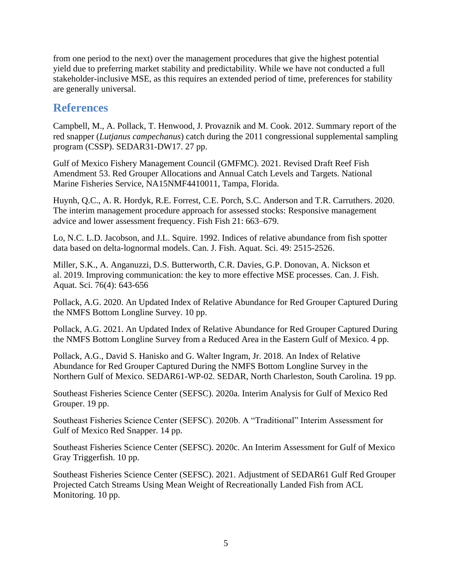from one period to the next) over the management procedures that give the highest potential yield due to preferring market stability and predictability. While we have not conducted a full stakeholder-inclusive MSE, as this requires an extended period of time, preferences for stability are generally universal.

## **References**

Campbell, M., A. Pollack, T. Henwood, J. Provaznik and M. Cook. 2012. Summary report of the red snapper (*Lutjanus campechanus*) catch during the 2011 congressional supplemental sampling program (CSSP). SEDAR31-DW17. 27 pp.

Gulf of Mexico Fishery Management Council (GMFMC). 2021. Revised Draft Reef Fish Amendment 53. Red Grouper Allocations and Annual Catch Levels and Targets. National Marine Fisheries Service, NA15NMF4410011, Tampa, Florida.

Huynh, Q.C., A. R. Hordyk, R.E. Forrest, C.E. Porch, S.C. Anderson and T.R. Carruthers. 2020. The interim management procedure approach for assessed stocks: Responsive management advice and lower assessment frequency. Fish Fish 21: 663–679.

Lo, N.C. L.D. Jacobson, and J.L. Squire. 1992. Indices of relative abundance from fish spotter data based on delta-lognormal models. Can. J. Fish. Aquat. Sci. 49: 2515-2526.

Miller, S.K., A. Anganuzzi, D.S. Butterworth, C.R. Davies, G.P. Donovan, A. Nickson et al. 2019. Improving communication: the key to more effective MSE processes. Can. J. Fish. Aquat. Sci. 76(4): 643-656

Pollack, A.G. 2020. An Updated Index of Relative Abundance for Red Grouper Captured During the NMFS Bottom Longline Survey. 10 pp.

Pollack, A.G. 2021. An Updated Index of Relative Abundance for Red Grouper Captured During the NMFS Bottom Longline Survey from a Reduced Area in the Eastern Gulf of Mexico. 4 pp.

Pollack, A.G., David S. Hanisko and G. Walter Ingram, Jr. 2018. An Index of Relative Abundance for Red Grouper Captured During the NMFS Bottom Longline Survey in the Northern Gulf of Mexico. SEDAR61-WP-02. SEDAR, North Charleston, South Carolina. 19 pp.

Southeast Fisheries Science Center (SEFSC). 2020a. Interim Analysis for Gulf of Mexico Red Grouper. 19 pp.

Southeast Fisheries Science Center (SEFSC). 2020b. A "Traditional" Interim Assessment for Gulf of Mexico Red Snapper. 14 pp.

Southeast Fisheries Science Center (SEFSC). 2020c. An Interim Assessment for Gulf of Mexico Gray Triggerfish. 10 pp.

Southeast Fisheries Science Center (SEFSC). 2021. Adjustment of SEDAR61 Gulf Red Grouper Projected Catch Streams Using Mean Weight of Recreationally Landed Fish from ACL Monitoring. 10 pp.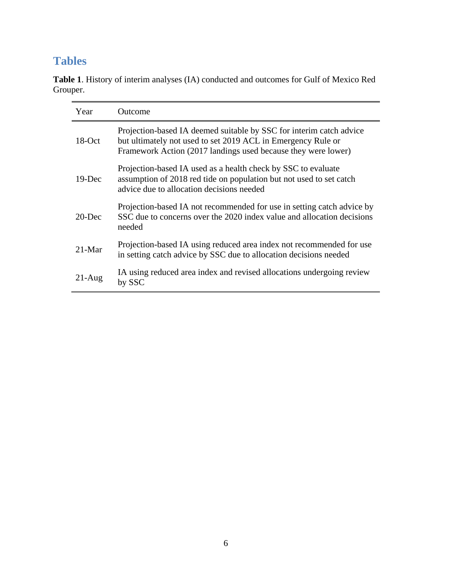## **Tables**

| Year      | <b>Outcome</b>                                                                                                                                                                                       |
|-----------|------------------------------------------------------------------------------------------------------------------------------------------------------------------------------------------------------|
| $18$ -Oct | Projection-based IA deemed suitable by SSC for interim catch advice<br>but ultimately not used to set 2019 ACL in Emergency Rule or<br>Framework Action (2017 landings used because they were lower) |
| $19$ -Dec | Projection-based IA used as a health check by SSC to evaluate<br>assumption of 2018 red tide on population but not used to set catch<br>advice due to allocation decisions needed                    |
| $20$ -Dec | Projection-based IA not recommended for use in setting catch advice by<br>SSC due to concerns over the 2020 index value and allocation decisions<br>needed                                           |
| $21-Mar$  | Projection-based IA using reduced area index not recommended for use<br>in setting catch advice by SSC due to allocation decisions needed                                                            |
| $21-Aug$  | IA using reduced area index and revised allocations undergoing review<br>by SSC                                                                                                                      |

**Table 1**. History of interim analyses (IA) conducted and outcomes for Gulf of Mexico Red Grouper.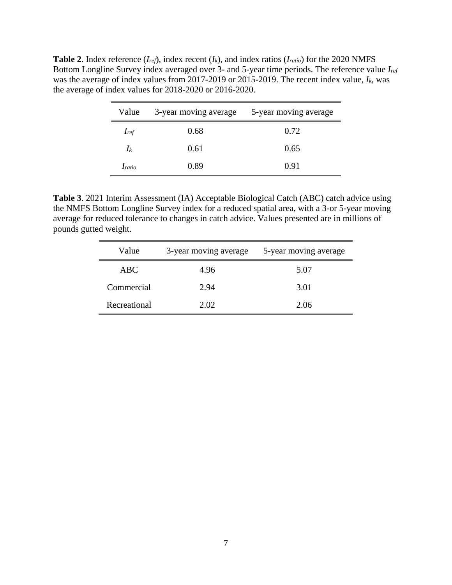**Table 2**. Index reference  $(I_{ref})$ , index recent  $(I_k)$ , and index ratios  $(I_{ratio})$  for the 2020 NMFS Bottom Longline Survey index averaged over 3- and 5-year time periods. The reference value *Iref* was the average of index values from 2017-2019 or 2015-2019. The recent index value, *Ik*, was the average of index values for 2018-2020 or 2016-2020.

| Value         | 3-year moving average | 5-year moving average |  |  |  |
|---------------|-----------------------|-----------------------|--|--|--|
| $I_{ref}$     | 0.68                  | 0.72                  |  |  |  |
| $\mathbf{I}$  | 0.61                  | 0.65                  |  |  |  |
| <i>Iratio</i> | 0.89                  | 0.91                  |  |  |  |

**Table 3**. 2021 Interim Assessment (IA) Acceptable Biological Catch (ABC) catch advice using the NMFS Bottom Longline Survey index for a reduced spatial area, with a 3-or 5-year moving average for reduced tolerance to changes in catch advice. Values presented are in millions of pounds gutted weight.

| Value        | 3-year moving average | 5-year moving average |  |  |
|--------------|-----------------------|-----------------------|--|--|
| ABC.         | 4.96                  | 5.07                  |  |  |
| Commercial   | 2.94                  | 3.01                  |  |  |
| Recreational | 2.02                  | 2.06                  |  |  |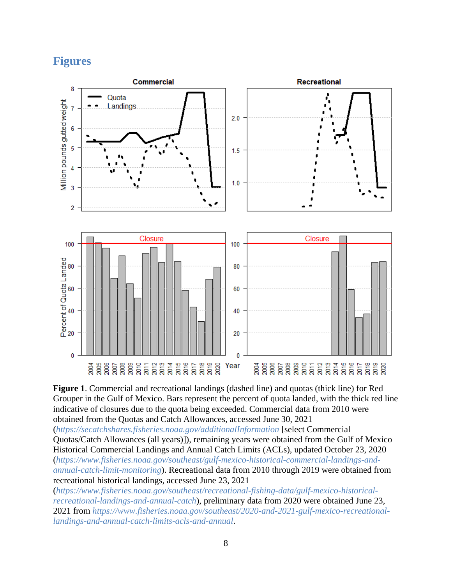## **Figures**



**Figure 1**. Commercial and recreational landings (dashed line) and quotas (thick line) for Red Grouper in the Gulf of Mexico. Bars represent the percent of quota landed, with the thick red line indicative of closures due to the quota being exceeded. Commercial data from 2010 were obtained from the Quotas and Catch Allowances, accessed June 30, 2021

(*<https://secatchshares.fisheries.noaa.gov/additionalInformation>* [select Commercial Quotas/Catch Allowances (all years)]), remaining years were obtained from the Gulf of Mexico Historical Commercial Landings and Annual Catch Limits (ACLs), updated October 23, 2020 (*[https://www.fisheries.noaa.gov/southeast/gulf-mexico-historical-commercial-landings-and](https://www.fisheries.noaa.gov/southeast/gulf-mexico-historical-commercial-landings-and-annual-catch-limit-monitoring)[annual-catch-limit-monitoring](https://www.fisheries.noaa.gov/southeast/gulf-mexico-historical-commercial-landings-and-annual-catch-limit-monitoring)*). Recreational data from 2010 through 2019 were obtained from recreational historical landings, accessed June 23, 2021

(*[https://www.fisheries.noaa.gov/southeast/recreational-fishing-data/gulf-mexico-historical](https://www.fisheries.noaa.gov/southeast/recreational-fishing-data/gulf-mexico-historical-recreational-landings-and-annual-catch)[recreational-landings-and-annual-catch](https://www.fisheries.noaa.gov/southeast/recreational-fishing-data/gulf-mexico-historical-recreational-landings-and-annual-catch)*), preliminary data from 2020 were obtained June 23, 2021 from *[https://www.fisheries.noaa.gov/southeast/2020-and-2021-gulf-mexico-recreational](https://www.fisheries.noaa.gov/southeast/2020-and-2021-gulf-mexico-recreational-landings-and-annual-catch-limits-acls-and-annual)[landings-and-annual-catch-limits-acls-and-annual](https://www.fisheries.noaa.gov/southeast/2020-and-2021-gulf-mexico-recreational-landings-and-annual-catch-limits-acls-and-annual)*.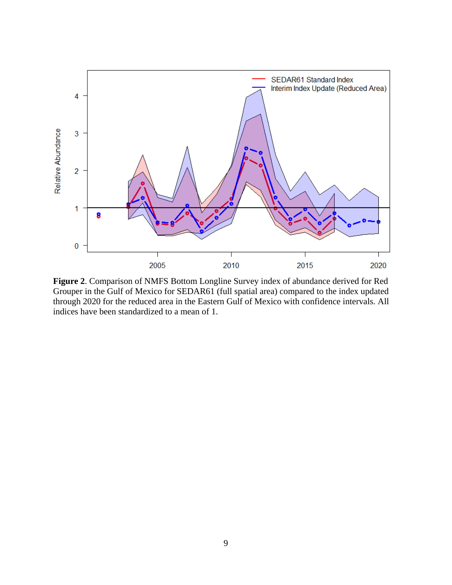

**Figure 2**. Comparison of NMFS Bottom Longline Survey index of abundance derived for Red Grouper in the Gulf of Mexico for SEDAR61 (full spatial area) compared to the index updated through 2020 for the reduced area in the Eastern Gulf of Mexico with confidence intervals. All indices have been standardized to a mean of 1.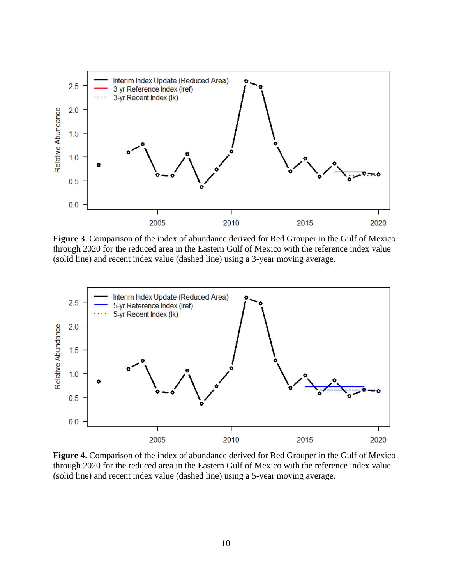

**Figure 3**. Comparison of the index of abundance derived for Red Grouper in the Gulf of Mexico through 2020 for the reduced area in the Eastern Gulf of Mexico with the reference index value (solid line) and recent index value (dashed line) using a 3-year moving average.



**Figure 4**. Comparison of the index of abundance derived for Red Grouper in the Gulf of Mexico through 2020 for the reduced area in the Eastern Gulf of Mexico with the reference index value (solid line) and recent index value (dashed line) using a 5-year moving average.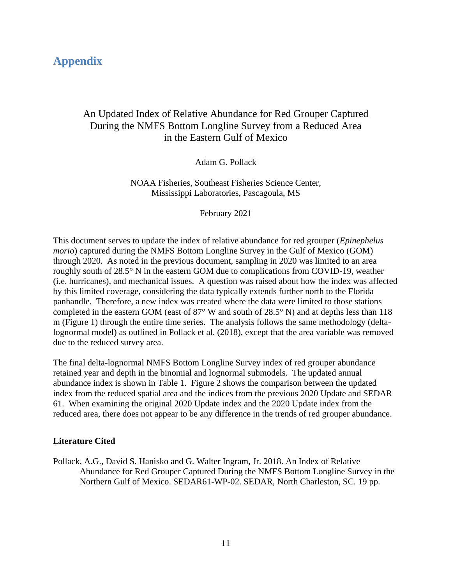## **Appendix**

#### An Updated Index of Relative Abundance for Red Grouper Captured During the NMFS Bottom Longline Survey from a Reduced Area in the Eastern Gulf of Mexico

Adam G. Pollack

NOAA Fisheries, Southeast Fisheries Science Center, Mississippi Laboratories, Pascagoula, MS

February 2021

This document serves to update the index of relative abundance for red grouper (*Epinephelus morio*) captured during the NMFS Bottom Longline Survey in the Gulf of Mexico (GOM) through 2020. As noted in the previous document, sampling in 2020 was limited to an area roughly south of 28.5° N in the eastern GOM due to complications from COVID-19, weather (i.e. hurricanes), and mechanical issues. A question was raised about how the index was affected by this limited coverage, considering the data typically extends further north to the Florida panhandle. Therefore, a new index was created where the data were limited to those stations completed in the eastern GOM (east of 87° W and south of 28.5° N) and at depths less than 118 m (Figure 1) through the entire time series. The analysis follows the same methodology (deltalognormal model) as outlined in Pollack et al. (2018), except that the area variable was removed due to the reduced survey area.

The final delta-lognormal NMFS Bottom Longline Survey index of red grouper abundance retained year and depth in the binomial and lognormal submodels. The updated annual abundance index is shown in Table 1. Figure 2 shows the comparison between the updated index from the reduced spatial area and the indices from the previous 2020 Update and SEDAR 61. When examining the original 2020 Update index and the 2020 Update index from the reduced area, there does not appear to be any difference in the trends of red grouper abundance.

#### **Literature Cited**

Pollack, A.G., David S. Hanisko and G. Walter Ingram, Jr. 2018. An Index of Relative Abundance for Red Grouper Captured During the NMFS Bottom Longline Survey in the Northern Gulf of Mexico. SEDAR61-WP-02. SEDAR, North Charleston, SC. 19 pp.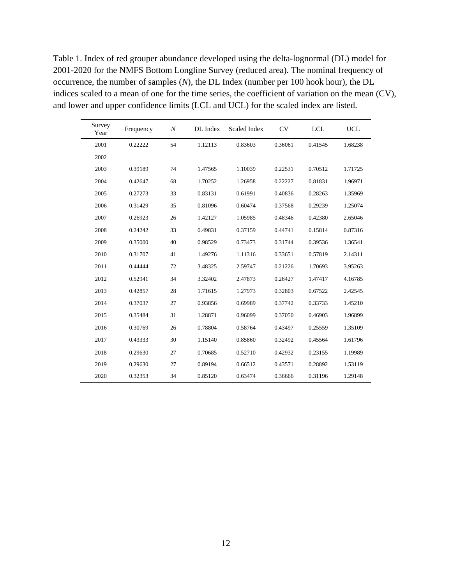Table 1. Index of red grouper abundance developed using the delta-lognormal (DL) model for 2001-2020 for the NMFS Bottom Longline Survey (reduced area). The nominal frequency of occurrence, the number of samples (*N*), the DL Index (number per 100 hook hour), the DL indices scaled to a mean of one for the time series, the coefficient of variation on the mean (CV), and lower and upper confidence limits (LCL and UCL) for the scaled index are listed.

| Survey<br>Year | Frequency | $\boldsymbol{N}$ | DL Index | <b>Scaled Index</b> | CV      | <b>LCL</b> | <b>UCL</b> |
|----------------|-----------|------------------|----------|---------------------|---------|------------|------------|
| 2001           | 0.22222   | 54               | 1.12113  | 0.83603             | 0.36061 | 0.41545    | 1.68238    |
| 2002           |           |                  |          |                     |         |            |            |
| 2003           | 0.39189   | 74               | 1.47565  | 1.10039             | 0.22531 | 0.70512    | 1.71725    |
| 2004           | 0.42647   | 68               | 1.70252  | 1.26958             | 0.22227 | 0.81831    | 1.96971    |
| 2005           | 0.27273   | 33               | 0.83131  | 0.61991             | 0.40836 | 0.28263    | 1.35969    |
| 2006           | 0.31429   | 35               | 0.81096  | 0.60474             | 0.37568 | 0.29239    | 1.25074    |
| 2007           | 0.26923   | 26               | 1.42127  | 1.05985             | 0.48346 | 0.42380    | 2.65046    |
| 2008           | 0.24242   | 33               | 0.49831  | 0.37159             | 0.44741 | 0.15814    | 0.87316    |
| 2009           | 0.35000   | 40               | 0.98529  | 0.73473             | 0.31744 | 0.39536    | 1.36541    |
| 2010           | 0.31707   | 41               | 1.49276  | 1.11316             | 0.33651 | 0.57819    | 2.14311    |
| 2011           | 0.44444   | 72               | 3.48325  | 2.59747             | 0.21226 | 1.70693    | 3.95263    |
| 2012           | 0.52941   | 34               | 3.32402  | 2.47873             | 0.26427 | 1.47417    | 4.16785    |
| 2013           | 0.42857   | 28               | 1.71615  | 1.27973             | 0.32803 | 0.67522    | 2.42545    |
| 2014           | 0.37037   | 27               | 0.93856  | 0.69989             | 0.37742 | 0.33733    | 1.45210    |
| 2015           | 0.35484   | 31               | 1.28871  | 0.96099             | 0.37050 | 0.46903    | 1.96899    |
| 2016           | 0.30769   | 26               | 0.78804  | 0.58764             | 0.43497 | 0.25559    | 1.35109    |
| 2017           | 0.43333   | 30               | 1.15140  | 0.85860             | 0.32492 | 0.45564    | 1.61796    |
| 2018           | 0.29630   | 27               | 0.70685  | 0.52710             | 0.42932 | 0.23155    | 1.19989    |
| 2019           | 0.29630   | 27               | 0.89194  | 0.66512             | 0.43571 | 0.28892    | 1.53119    |
| 2020           | 0.32353   | 34               | 0.85120  | 0.63474             | 0.36666 | 0.31196    | 1.29148    |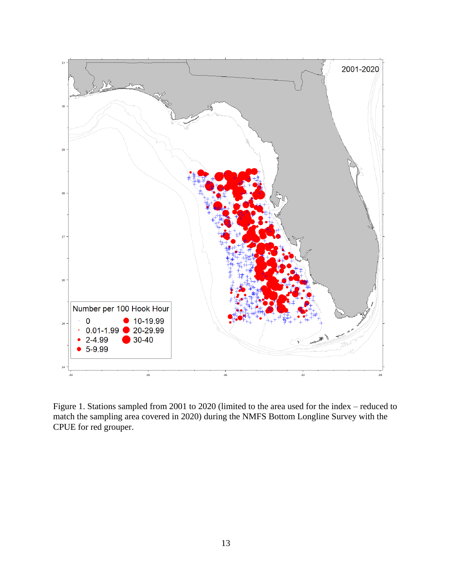

Figure 1. Stations sampled from 2001 to 2020 (limited to the area used for the index – reduced to match the sampling area covered in 2020) during the NMFS Bottom Longline Survey with the CPUE for red grouper.